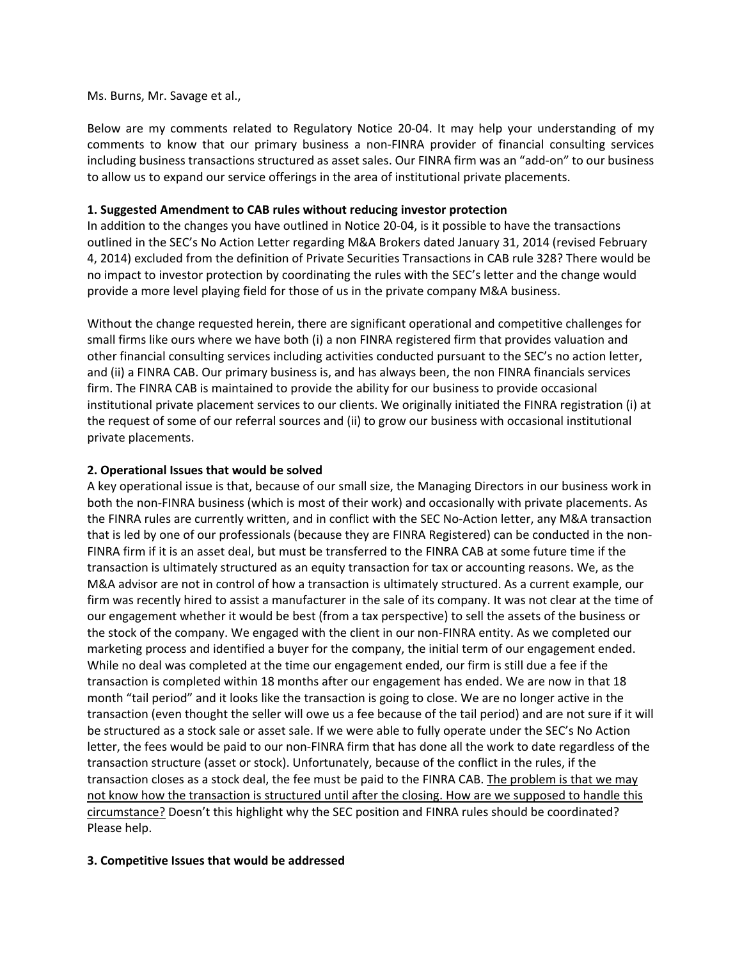## Ms. Burns, Mr. Savage et al.,

Below are my comments related to Regulatory Notice 20-04. It may help your understanding of my comments to know that our primary business a non‐FINRA provider of financial consulting services including business transactions structured as asset sales. Our FINRA firm was an "add-on" to our business to allow us to expand our service offerings in the area of institutional private placements.

## **1. Suggested Amendment to CAB rules without reducing investor protection**

In addition to the changes you have outlined in Notice 20-04, is it possible to have the transactions outlined in the SEC's No Action Letter regarding M&A Brokers dated January 31, 2014 (revised February 4, 2014) excluded from the definition of Private Securities Transactions in CAB rule 328? There would be no impact to investor protection by coordinating the rules with the SEC's letter and the change would provide a more level playing field for those of us in the private company M&A business.

Without the change requested herein, there are significant operational and competitive challenges for small firms like ours where we have both (i) a non FINRA registered firm that provides valuation and other financial consulting services including activities conducted pursuant to the SEC's no action letter, and (ii) a FINRA CAB. Our primary business is, and has always been, the non FINRA financials services firm. The FINRA CAB is maintained to provide the ability for our business to provide occasional institutional private placement services to our clients. We originally initiated the FINRA registration (i) at the request of some of our referral sources and (ii) to grow our business with occasional institutional private placements.

## **2. Operational Issues that would be solved**

A key operational issue is that, because of our small size, the Managing Directors in our business work in both the non‐FINRA business (which is most of their work) and occasionally with private placements. As the FINRA rules are currently written, and in conflict with the SEC No-Action letter, any M&A transaction that is led by one of our professionals (because they are FINRA Registered) can be conducted in the non‐ FINRA firm if it is an asset deal, but must be transferred to the FINRA CAB at some future time if the transaction is ultimately structured as an equity transaction for tax or accounting reasons. We, as the M&A advisor are not in control of how a transaction is ultimately structured. As a current example, our firm was recently hired to assist a manufacturer in the sale of its company. It was not clear at the time of our engagement whether it would be best (from a tax perspective) to sell the assets of the business or the stock of the company. We engaged with the client in our non‐FINRA entity. As we completed our marketing process and identified a buyer for the company, the initial term of our engagement ended. While no deal was completed at the time our engagement ended, our firm is still due a fee if the transaction is completed within 18 months after our engagement has ended. We are now in that 18 month "tail period" and it looks like the transaction is going to close. We are no longer active in the transaction (even thought the seller will owe us a fee because of the tail period) and are not sure if it will be structured as a stock sale or asset sale. If we were able to fully operate under the SEC's No Action letter, the fees would be paid to our non‐FINRA firm that has done all the work to date regardless of the transaction structure (asset or stock). Unfortunately, because of the conflict in the rules, if the transaction closes as a stock deal, the fee must be paid to the FINRA CAB. The problem is that we may not know how the transaction is structured until after the closing. How are we supposed to handle this circumstance? Doesn't this highlight why the SEC position and FINRA rules should be coordinated? Please help.

## **3. Competitive Issues that would be addressed**